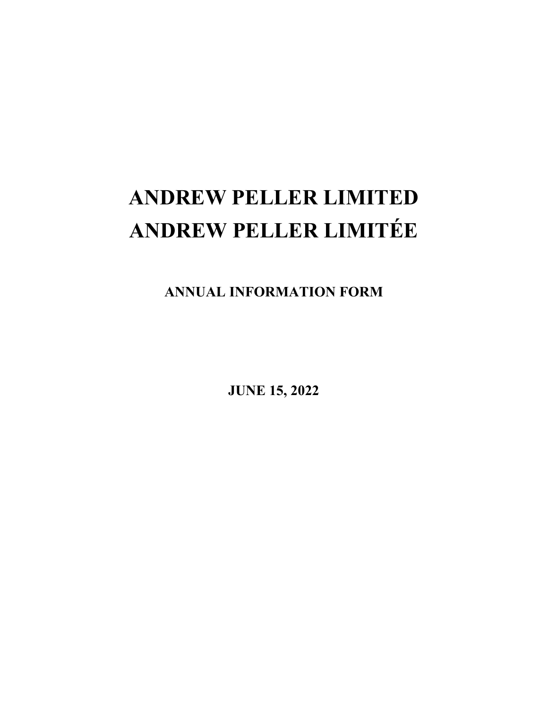# **ANDREW PELLER LIMITED ANDREW PELLER LIMITÉE**

**ANNUAL INFORMATION FORM** 

**JUNE 15, 2022**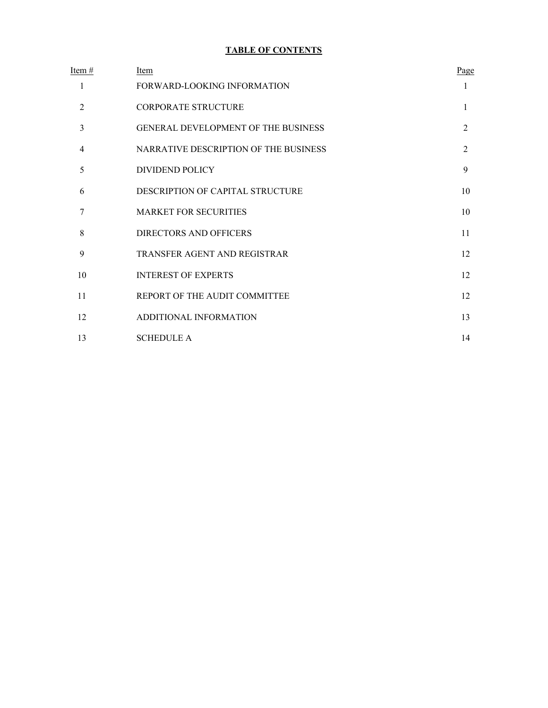# **TABLE OF CONTENTS**

| Item # | Item                                       | Page           |
|--------|--------------------------------------------|----------------|
| 1      | FORWARD-LOOKING INFORMATION                | 1              |
| 2      | <b>CORPORATE STRUCTURE</b>                 | 1              |
| 3      | <b>GENERAL DEVELOPMENT OF THE BUSINESS</b> | 2              |
| 4      | NARRATIVE DESCRIPTION OF THE BUSINESS      | $\overline{2}$ |
| 5      | DIVIDEND POLICY                            | 9              |
| 6      | DESCRIPTION OF CAPITAL STRUCTURE           | 10             |
| 7      | <b>MARKET FOR SECURITIES</b>               | 10             |
| 8      | DIRECTORS AND OFFICERS                     | 11             |
| 9      | <b>TRANSFER AGENT AND REGISTRAR</b>        | 12             |
| 10     | <b>INTEREST OF EXPERTS</b>                 | 12             |
| 11     | REPORT OF THE AUDIT COMMITTEE              | 12             |
| 12     | ADDITIONAL INFORMATION                     | 13             |
| 13     | <b>SCHEDULE A</b>                          | 14             |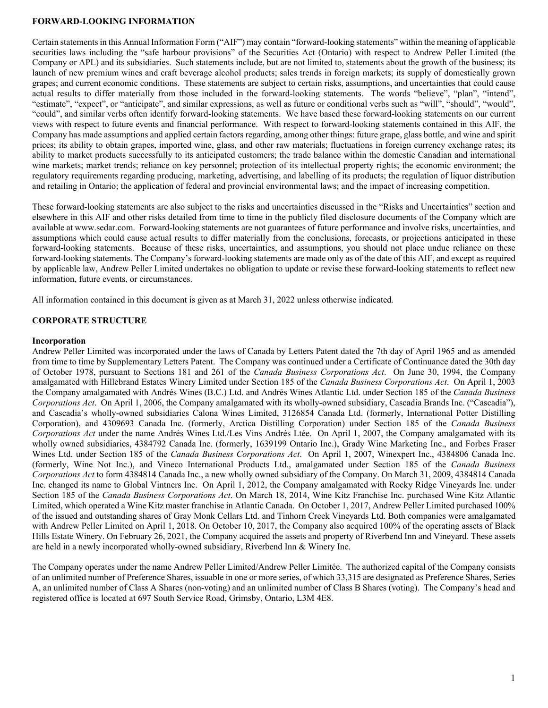#### **FORWARD-LOOKING INFORMATION**

Certain statements in this Annual Information Form ("AIF") may contain "forward-looking statements" within the meaning of applicable securities laws including the "safe harbour provisions" of the Securities Act (Ontario) with respect to Andrew Peller Limited (the Company or APL) and its subsidiaries. Such statements include, but are not limited to, statements about the growth of the business; its launch of new premium wines and craft beverage alcohol products; sales trends in foreign markets; its supply of domestically grown grapes; and current economic conditions. These statements are subject to certain risks, assumptions, and uncertainties that could cause actual results to differ materially from those included in the forward-looking statements. The words "believe", "plan", "intend", "estimate", "expect", or "anticipate", and similar expressions, as well as future or conditional verbs such as "will", "should", "would", "could", and similar verbs often identify forward-looking statements. We have based these forward-looking statements on our current views with respect to future events and financial performance. With respect to forward-looking statements contained in this AIF, the Company has made assumptions and applied certain factors regarding, among other things: future grape, glass bottle, and wine and spirit prices; its ability to obtain grapes, imported wine, glass, and other raw materials; fluctuations in foreign currency exchange rates; its ability to market products successfully to its anticipated customers; the trade balance within the domestic Canadian and international wine markets; market trends; reliance on key personnel; protection of its intellectual property rights; the economic environment; the regulatory requirements regarding producing, marketing, advertising, and labelling of its products; the regulation of liquor distribution and retailing in Ontario; the application of federal and provincial environmental laws; and the impact of increasing competition.

These forward-looking statements are also subject to the risks and uncertainties discussed in the "Risks and Uncertainties" section and elsewhere in this AIF and other risks detailed from time to time in the publicly filed disclosure documents of the Company which are available at www.sedar.com. Forward-looking statements are not guarantees of future performance and involve risks, uncertainties, and assumptions which could cause actual results to differ materially from the conclusions, forecasts, or projections anticipated in these forward-looking statements. Because of these risks, uncertainties, and assumptions, you should not place undue reliance on these forward-looking statements. The Company's forward-looking statements are made only as of the date of this AIF, and except as required by applicable law, Andrew Peller Limited undertakes no obligation to update or revise these forward-looking statements to reflect new information, future events, or circumstances.

All information contained in this document is given as at March 31, 2022 unless otherwise indicated*.* 

# **CORPORATE STRUCTURE**

## **Incorporation**

Andrew Peller Limited was incorporated under the laws of Canada by Letters Patent dated the 7th day of April 1965 and as amended from time to time by Supplementary Letters Patent. The Company was continued under a Certificate of Continuance dated the 30th day of October 1978, pursuant to Sections 181 and 261 of the *Canada Business Corporations Act*. On June 30, 1994, the Company amalgamated with Hillebrand Estates Winery Limited under Section 185 of the *Canada Business Corporations Act*. On April 1, 2003 the Company amalgamated with Andrés Wines (B.C.) Ltd. and Andrés Wines Atlantic Ltd. under Section 185 of the *Canada Business Corporations Act*. On April 1, 2006, the Company amalgamated with its wholly-owned subsidiary, Cascadia Brands Inc. ("Cascadia"), and Cascadia's wholly-owned subsidiaries Calona Wines Limited, 3126854 Canada Ltd. (formerly, International Potter Distilling Corporation), and 4309693 Canada Inc. (formerly, Arctica Distilling Corporation) under Section 185 of the *Canada Business Corporations Act* under the name Andrés Wines Ltd./Les Vins Andrés Ltée.On April 1, 2007, the Company amalgamated with its wholly owned subsidiaries, 4384792 Canada Inc. (formerly, 1639199 Ontario Inc.), Grady Wine Marketing Inc., and Forbes Fraser Wines Ltd. under Section 185 of the *Canada Business Corporations Act*. On April 1, 2007, Winexpert Inc., 4384806 Canada Inc. (formerly, Wine Not Inc.), and Vineco International Products Ltd., amalgamated under Section 185 of the *Canada Business Corporations Act* to form 4384814 Canada Inc., a new wholly owned subsidiary of the Company. On March 31, 2009, 4384814 Canada Inc. changed its name to Global Vintners Inc. On April 1, 2012, the Company amalgamated with Rocky Ridge Vineyards Inc. under Section 185 of the *Canada Business Corporations Act*. On March 18, 2014, Wine Kitz Franchise Inc. purchased Wine Kitz Atlantic Limited, which operated a Wine Kitz master franchise in Atlantic Canada. On October 1, 2017, Andrew Peller Limited purchased 100% of the issued and outstanding shares of Gray Monk Cellars Ltd. and Tinhorn Creek Vineyards Ltd. Both companies were amalgamated with Andrew Peller Limited on April 1, 2018. On October 10, 2017, the Company also acquired 100% of the operating assets of Black Hills Estate Winery. On February 26, 2021, the Company acquired the assets and property of Riverbend Inn and Vineyard. These assets are held in a newly incorporated wholly-owned subsidiary, Riverbend Inn & Winery Inc.

The Company operates under the name Andrew Peller Limited/Andrew Peller Limitée. The authorized capital of the Company consists of an unlimited number of Preference Shares, issuable in one or more series, of which 33,315 are designated as Preference Shares, Series A, an unlimited number of Class A Shares (non-voting) and an unlimited number of Class B Shares (voting). The Company's head and registered office is located at 697 South Service Road, Grimsby, Ontario, L3M 4E8.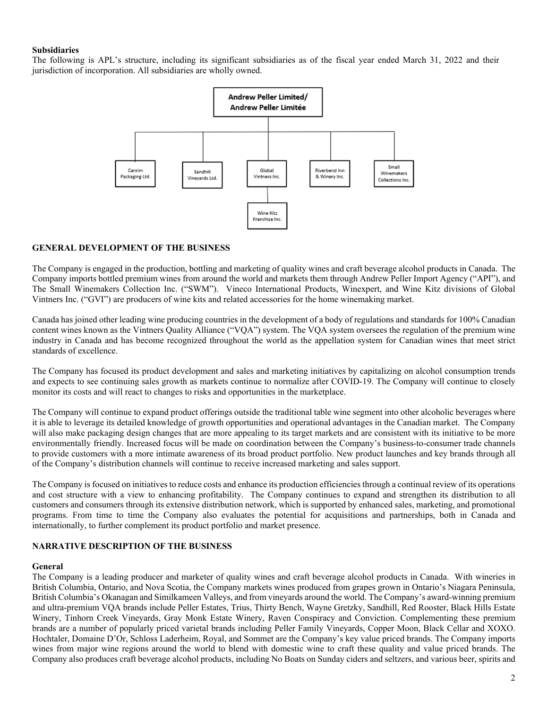## **Subsidiaries**

The following is APL's structure, including its significant subsidiaries as of the fiscal year ended March 31, 2022 and their jurisdiction of incorporation. All subsidiaries are wholly owned.



## **GENERAL DEVELOPMENT OF THE BUSINESS**

The Company is engaged in the production, bottling and marketing of quality wines and craft beverage alcohol products in Canada. The Company imports bottled premium wines from around the world and markets them through Andrew Peller Import Agency ("API"), and The Small Winemakers Collection Inc. ("SWM"). Vineco International Products, Winexpert, and Wine Kitz divisions of Global Vintners Inc. ("GVI") are producers of wine kits and related accessories for the home winemaking market.

Canada has joined other leading wine producing countries in the development of a body of regulations and standards for 100% Canadian content wines known as the Vintners Quality Alliance ("VQA") system. The VQA system oversees the regulation of the premium wine industry in Canada and has become recognized throughout the world as the appellation system for Canadian wines that meet strict standards of excellence.

The Company has focused its product development and sales and marketing initiatives by capitalizing on alcohol consumption trends and expects to see continuing sales growth as markets continue to normalize after COVID-19. The Company will continue to closely monitor its costs and will react to changes to risks and opportunities in the marketplace.

The Company will continue to expand product offerings outside the traditional table wine segment into other alcoholic beverages where it is able to leverage its detailed knowledge of growth opportunities and operational advantages in the Canadian market. The Company will also make packaging design changes that are more appealing to its target markets and are consistent with its initiative to be more environmentally friendly. Increased focus will be made on coordination between the Company's business-to-consumer trade channels to provide customers with a more intimate awareness of its broad product portfolio. New product launches and key brands through all of the Company's distribution channels will continue to receive increased marketing and sales support.

The Company is focused on initiatives to reduce costs and enhance its production efficiencies through a continual review of its operations and cost structure with a view to enhancing profitability. The Company continues to expand and strengthen its distribution to all customers and consumers through its extensive distribution network, which is supported by enhanced sales, marketing, and promotional programs. From time to time the Company also evaluates the potential for acquisitions and partnerships, both in Canada and internationally, to further complement its product portfolio and market presence.

## **NARRATIVE DESCRIPTION OF THE BUSINESS**

## **General**

The Company is a leading producer and marketer of quality wines and craft beverage alcohol products in Canada. With wineries in British Columbia, Ontario, and Nova Scotia, the Company markets wines produced from grapes grown in Ontario's Niagara Peninsula, British Columbia's Okanagan and Similkameen Valleys, and from vineyards around the world. The Company's award-winning premium and ultra-premium VQA brands include Peller Estates, Trius, Thirty Bench, Wayne Gretzky, Sandhill, Red Rooster, Black Hills Estate Winery, Tinhorn Creek Vineyards, Gray Monk Estate Winery, Raven Conspiracy and Conviction. Complementing these premium brands are a number of popularly priced varietal brands including Peller Family Vineyards, Copper Moon, Black Cellar and XOXO. Hochtaler, Domaine D'Or, Schloss Laderheim, Royal, and Sommet are the Company's key value priced brands. The Company imports wines from major wine regions around the world to blend with domestic wine to craft these quality and value priced brands. The Company also produces craft beverage alcohol products, including No Boats on Sunday ciders and seltzers, and various beer, spirits and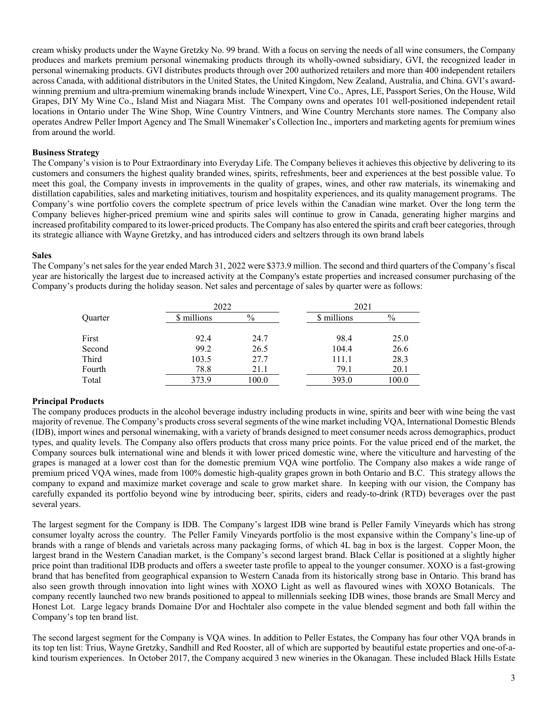cream whisky products under the Wayne Gretzky No. 99 brand. With a focus on serving the needs of all wine consumers, the Company produces and markets premium personal winemaking products through its wholly-owned subsidiary, GVI, the recognized leader in personal winemaking products. GVI distributes products through over 200 authorized retailers and more than 400 independent retailers across Canada, with additional distributors in the United States, the United Kingdom, New Zealand, Australia, and China. GVI's awardwinning premium and ultra-premium winemaking brands include Winexpert, Vine Co., Apres, LE, Passport Series, On the House, Wild Grapes, DIY My Wine Co., Island Mist and Niagara Mist. The Company owns and operates 101 well-positioned independent retail locations in Ontario under The Wine Shop, Wine Country Vintners, and Wine Country Merchants store names. The Company also operates Andrew Peller Import Agency and The Small Winemaker's Collection Inc., importers and marketing agents for premium wines from around the world.

## **Business Strategy**

The Company's vision is to Pour Extraordinary into Everyday Life. The Company believes it achieves this objective by delivering to its customers and consumers the highest quality branded wines, spirits, refreshments, beer and experiences at the best possible value. To meet this goal, the Company invests in improvements in the quality of grapes, wines, and other raw materials, its winemaking and distillation capabilities, sales and marketing initiatives, tourism and hospitality experiences, and its quality management programs. The Company's wine portfolio covers the complete spectrum of price levels within the Canadian wine market. Over the long term the Company believes higher-priced premium wine and spirits sales will continue to grow in Canada, generating higher margins and increased profitability compared to its lower-priced products. The Company has also entered the spirits and craft beer categories, through its strategic alliance with Wayne Gretzky, and has introduced ciders and seltzers through its own brand labels

#### **Sales**

The Company's net sales for the year ended March 31, 2022 were \$373.9 million. The second and third quarters of the Company's fiscal year are historically the largest due to increased activity at the Company's estate properties and increased consumer purchasing of the Company's products during the holiday season. Net sales and percentage of sales by quarter were as follows:

|         | 2022        |       | 2021        |       |
|---------|-------------|-------|-------------|-------|
| Ouarter | \$ millions | $\%$  | \$ millions | $\%$  |
| First   | 92.4        | 24.7  | 98.4        | 25.0  |
| Second  | 99.2        | 26.5  | 104.4       | 26.6  |
| Third   | 103.5       | 27.7  | 111.1       | 28.3  |
| Fourth  | 78.8        | 21.1  | 79.1        | 20.1  |
| Total   | 373.9       | 100.0 | 393.0       | 100.0 |

## **Principal Products**

The company produces products in the alcohol beverage industry including products in wine, spirits and beer with wine being the vast majority of revenue. The Company's products cross several segments of the wine market including VQA, International Domestic Blends (IDB), import wines and personal winemaking, with a variety of brands designed to meet consumer needs across demographics, product types, and quality levels. The Company also offers products that cross many price points. For the value priced end of the market, the Company sources bulk international wine and blends it with lower priced domestic wine, where the viticulture and harvesting of the grapes is managed at a lower cost than for the domestic premium VQA wine portfolio. The Company also makes a wide range of premium priced VQA wines, made from 100% domestic high-quality grapes grown in both Ontario and B.C. This strategy allows the company to expand and maximize market coverage and scale to grow market share. In keeping with our vision, the Company has carefully expanded its portfolio beyond wine by introducing beer, spirits, ciders and ready-to-drink (RTD) beverages over the past several years.

The largest segment for the Company is IDB. The Company's largest IDB wine brand is Peller Family Vineyards which has strong consumer loyalty across the country. The Peller Family Vineyards portfolio is the most expansive within the Company's line-up of brands with a range of blends and varietals across many packaging forms, of which 4L bag in box is the largest. Copper Moon, the largest brand in the Western Canadian market, is the Company's second largest brand. Black Cellar is positioned at a slightly higher price point than traditional IDB products and offers a sweeter taste profile to appeal to the younger consumer. XOXO is a fast-growing brand that has benefited from geographical expansion to Western Canada from its historically strong base in Ontario. This brand has also seen growth through innovation into light wines with XOXO Light as well as flavoured wines with XOXO Botanicals. The company recently launched two new brands positioned to appeal to millennials seeking IDB wines, those brands are Small Mercy and Honest Lot. Large legacy brands Domaine D'or and Hochtaler also compete in the value blended segment and both fall within the Company's top ten brand list.

The second largest segment for the Company is VQA wines. In addition to Peller Estates, the Company has four other VQA brands in its top ten list: Trius, Wayne Gretzky, Sandhill and Red Rooster, all of which are supported by beautiful estate properties and one-of-akind tourism experiences. In October 2017, the Company acquired 3 new wineries in the Okanagan. These included Black Hills Estate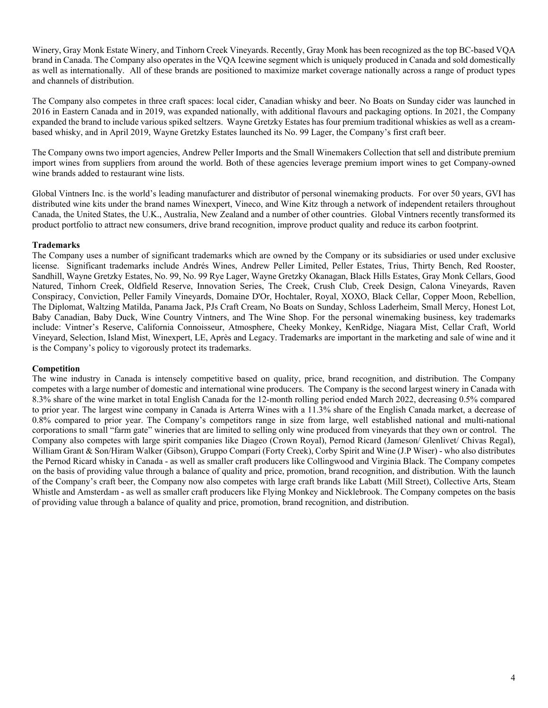Winery, Gray Monk Estate Winery, and Tinhorn Creek Vineyards. Recently, Gray Monk has been recognized as the top BC-based VQA brand in Canada. The Company also operates in the VQA Icewine segment which is uniquely produced in Canada and sold domestically as well as internationally. All of these brands are positioned to maximize market coverage nationally across a range of product types and channels of distribution.

The Company also competes in three craft spaces: local cider, Canadian whisky and beer. No Boats on Sunday cider was launched in 2016 in Eastern Canada and in 2019, was expanded nationally, with additional flavours and packaging options. In 2021, the Company expanded the brand to include various spiked seltzers. Wayne Gretzky Estates has four premium traditional whiskies as well as a creambased whisky, and in April 2019, Wayne Gretzky Estates launched its No. 99 Lager, the Company's first craft beer.

The Company owns two import agencies, Andrew Peller Imports and the Small Winemakers Collection that sell and distribute premium import wines from suppliers from around the world. Both of these agencies leverage premium import wines to get Company-owned wine brands added to restaurant wine lists.

Global Vintners Inc. is the world's leading manufacturer and distributor of personal winemaking products. For over 50 years, GVI has distributed wine kits under the brand names Winexpert, Vineco, and Wine Kitz through a network of independent retailers throughout Canada, the United States, the U.K., Australia, New Zealand and a number of other countries. Global Vintners recently transformed its product portfolio to attract new consumers, drive brand recognition, improve product quality and reduce its carbon footprint.

## **Trademarks**

The Company uses a number of significant trademarks which are owned by the Company or its subsidiaries or used under exclusive license. Significant trademarks include Andrés Wines, Andrew Peller Limited, Peller Estates, Trius, Thirty Bench, Red Rooster, Sandhill, Wayne Gretzky Estates, No. 99, No. 99 Rye Lager, Wayne Gretzky Okanagan, Black Hills Estates, Gray Monk Cellars, Good Natured, Tinhorn Creek, Oldfield Reserve, Innovation Series, The Creek, Crush Club, Creek Design, Calona Vineyards, Raven Conspiracy, Conviction, Peller Family Vineyards, Domaine D'Or, Hochtaler, Royal, XOXO, Black Cellar, Copper Moon, Rebellion, The Diplomat, Waltzing Matilda, Panama Jack, PJs Craft Cream, No Boats on Sunday, Schloss Laderheim, Small Mercy, Honest Lot, Baby Canadian, Baby Duck, Wine Country Vintners, and The Wine Shop. For the personal winemaking business, key trademarks include: Vintner's Reserve, California Connoisseur, Atmosphere, Cheeky Monkey, KenRidge, Niagara Mist, Cellar Craft, World Vineyard, Selection, Island Mist, Winexpert, LE, Après and Legacy. Trademarks are important in the marketing and sale of wine and it is the Company's policy to vigorously protect its trademarks.

## **Competition**

The wine industry in Canada is intensely competitive based on quality, price, brand recognition, and distribution. The Company competes with a large number of domestic and international wine producers. The Company is the second largest winery in Canada with 8.3% share of the wine market in total English Canada for the 12-month rolling period ended March 2022, decreasing 0.5% compared to prior year. The largest wine company in Canada is Arterra Wines with a 11.3% share of the English Canada market, a decrease of 0.8% compared to prior year. The Company's competitors range in size from large, well established national and multi-national corporations to small "farm gate" wineries that are limited to selling only wine produced from vineyards that they own or control. The Company also competes with large spirit companies like Diageo (Crown Royal), Pernod Ricard (Jameson/ Glenlivet/ Chivas Regal), William Grant & Son/Hiram Walker (Gibson), Gruppo Compari (Forty Creek), Corby Spirit and Wine (J.P Wiser) - who also distributes the Pernod Ricard whisky in Canada - as well as smaller craft producers like Collingwood and Virginia Black. The Company competes on the basis of providing value through a balance of quality and price, promotion, brand recognition, and distribution. With the launch of the Company's craft beer, the Company now also competes with large craft brands like Labatt (Mill Street), Collective Arts, Steam Whistle and Amsterdam - as well as smaller craft producers like Flying Monkey and Nicklebrook. The Company competes on the basis of providing value through a balance of quality and price, promotion, brand recognition, and distribution.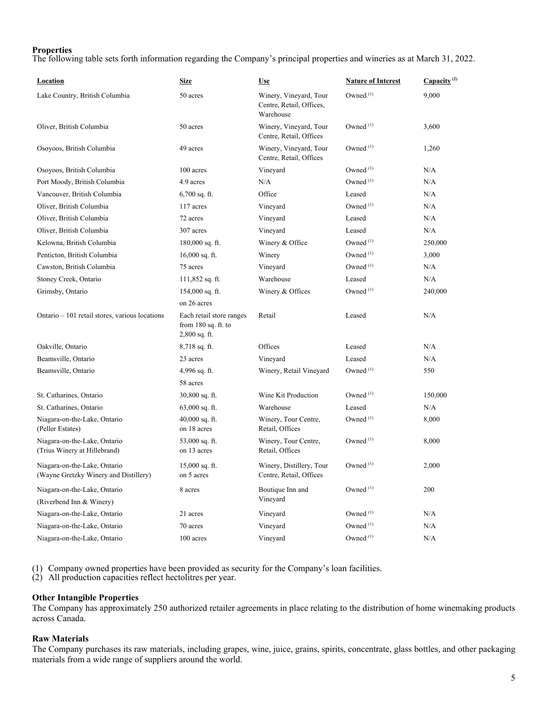#### **Properties**

The following table sets forth information regarding the Company's principal properties and wineries as at March 31, 2022.

| Location                                                              | <b>Size</b>                                                          | <b>Use</b>                                                      | <b>Nature of Interest</b> | Capacity <sup>(2)</sup> |
|-----------------------------------------------------------------------|----------------------------------------------------------------------|-----------------------------------------------------------------|---------------------------|-------------------------|
| Lake Country, British Columbia                                        | 50 acres                                                             | Winery, Vineyard, Tour<br>Centre, Retail, Offices,<br>Warehouse | Owned <sup>(1)</sup>      | 9,000                   |
| Oliver, British Columbia                                              | 50 acres                                                             | Winery, Vineyard, Tour<br>Centre, Retail, Offices               | Owned $(1)$               | 3,600                   |
| Osoyoos, British Columbia                                             | 49 acres                                                             | Winery, Vineyard, Tour<br>Centre, Retail, Offices               | Owned $(1)$               | 1,260                   |
| Osoyoos, British Columbia                                             | 100 acres                                                            | Vineyard                                                        | Owned $(1)$               | N/A                     |
| Port Moody, British Columbia                                          | 4.9 acres                                                            | N/A                                                             | Owned $(1)$               | N/A                     |
| Vancouver, British Columbia                                           | $6,700$ sq. ft.                                                      | Office                                                          | Leased                    | N/A                     |
| Oliver, British Columbia                                              | 117 acres                                                            | Vineyard                                                        | Owned $(1)$               | N/A                     |
| Oliver, British Columbia                                              | 72 acres                                                             | Vineyard                                                        | Leased                    | N/A                     |
| Oliver, British Columbia                                              | 307 acres                                                            | Vineyard                                                        | Leased                    | N/A                     |
| Kelowna, British Columbia                                             | 180,000 sq. ft.                                                      | Winery & Office                                                 | Owned <sup>(1)</sup>      | 250,000                 |
| Penticton, British Columbia                                           | 16,000 sq. ft.                                                       | Winery                                                          | Owned $(1)$               | 3,000                   |
| Cawston, British Columbia                                             | 75 acres                                                             | Vineyard                                                        | Owned $(1)$               | N/A                     |
| Stoney Creek, Ontario                                                 | 111,852 sq. ft.                                                      | Warehouse                                                       | Leased                    | N/A                     |
| Grimsby, Ontario                                                      | 154,000 sq. ft.                                                      | Winery & Offices                                                | Owned $(1)$               | 240,000                 |
|                                                                       | on 26 acres                                                          |                                                                 |                           |                         |
| Ontario - 101 retail stores, various locations                        | Each retail store ranges<br>from $180$ sq. ft. to<br>$2,800$ sq. ft. | Retail                                                          | Leased                    | N/A                     |
| Oakville, Ontario                                                     | $8,718$ sq. ft.                                                      | Offices                                                         | Leased                    | N/A                     |
| Beamsville, Ontario                                                   | 23 acres                                                             | Vineyard                                                        | Leased                    | N/A                     |
| Beamsville, Ontario                                                   | 4,996 sq. ft.                                                        | Winery, Retail Vineyard                                         | Owned <sup>(1)</sup>      | 550                     |
|                                                                       | 58 acres                                                             |                                                                 |                           |                         |
| St. Catharines, Ontario                                               | 30,800 sq. ft.                                                       | Wine Kit Production                                             | Owned $(1)$               | 150,000                 |
| St. Catharines, Ontario                                               | $63,000$ sq. ft.                                                     | Warehouse                                                       | Leased                    | N/A                     |
| Niagara-on-the-Lake, Ontario<br>(Peller Estates)                      | 40,000 sq. ft.<br>on 18 acres                                        | Winery, Tour Centre,<br>Retail, Offices                         | Owned $(1)$               | 8,000                   |
| Niagara-on-the-Lake, Ontario<br>(Trius Winery at Hillebrand)          | 53,000 sq. ft.<br>on 13 acres                                        | Winery, Tour Centre,<br>Retail, Offices                         | Owned $(1)$               | 8,000                   |
| Niagara-on-the-Lake, Ontario<br>(Wayne Gretzky Winery and Distillery) | $15,000$ sq. ft.<br>on 5 acres                                       | Winery, Distillery, Tour<br>Centre, Retail, Offices             | Owned $(1)$               | 2,000                   |
| Niagara-on-the-Lake, Ontario<br>(Riverbend Inn & Winery)              | 8 acres                                                              | Boutique Inn and<br>Vineyard                                    | Owned <sup>(1)</sup>      | 200                     |
|                                                                       |                                                                      |                                                                 | Owned <sup>(1)</sup>      | N/A                     |
| Niagara-on-the-Lake, Ontario<br>Niagara-on-the-Lake, Ontario          | 21 acres<br>70 acres                                                 | Vineyard<br>Vineyard                                            | Owned <sup>(1)</sup>      | N/A                     |
| Niagara-on-the-Lake, Ontario                                          | 100 acres                                                            | Vineyard                                                        | Owned <sup>(1)</sup>      | N/A                     |
|                                                                       |                                                                      |                                                                 |                           |                         |

(1) Company owned properties have been provided as security for the Company's loan facilities.

(2) All production capacities reflect hectolitres per year.

#### **Other Intangible Properties**

The Company has approximately 250 authorized retailer agreements in place relating to the distribution of home winemaking products across Canada.

#### **Raw Materials**

The Company purchases its raw materials, including grapes, wine, juice, grains, spirits, concentrate, glass bottles, and other packaging materials from a wide range of suppliers around the world.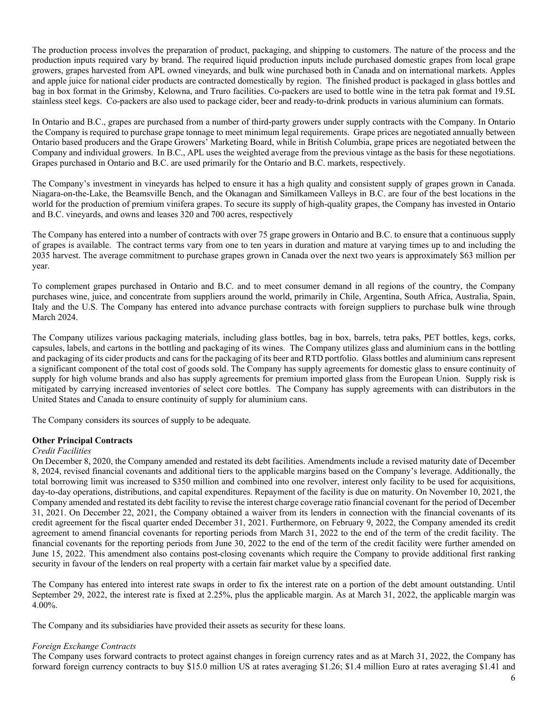The production process involves the preparation of product, packaging, and shipping to customers. The nature of the process and the production inputs required vary by brand. The required liquid production inputs include purchased domestic grapes from local grape growers, grapes harvested from APL owned vineyards, and bulk wine purchased both in Canada and on international markets. Apples and apple juice for national cider products are contracted domestically by region. The finished product is packaged in glass bottles and bag in box format in the Grimsby, Kelowna, and Truro facilities. Co-packers are used to bottle wine in the tetra pak format and 19.5L stainless steel kegs. Co-packers are also used to package cider, beer and ready-to-drink products in various aluminium can formats.

In Ontario and B.C., grapes are purchased from a number of third-party growers under supply contracts with the Company. In Ontario the Company is required to purchase grape tonnage to meet minimum legal requirements. Grape prices are negotiated annually between Ontario based producers and the Grape Growers' Marketing Board, while in British Columbia, grape prices are negotiated between the Company and individual growers. In B.C., APL uses the weighted average from the previous vintage as the basis for these negotiations. Grapes purchased in Ontario and B.C. are used primarily for the Ontario and B.C. markets, respectively.

The Company's investment in vineyards has helped to ensure it has a high quality and consistent supply of grapes grown in Canada. Niagara-on-the-Lake, the Beamsville Bench, and the Okanagan and Similkameen Valleys in B.C. are four of the best locations in the world for the production of premium vinifera grapes. To secure its supply of high-quality grapes, the Company has invested in Ontario and B.C. vineyards, and owns and leases 320 and 700 acres, respectively

The Company has entered into a number of contracts with over 75 grape growers in Ontario and B.C. to ensure that a continuous supply of grapes is available. The contract terms vary from one to ten years in duration and mature at varying times up to and including the 2035 harvest. The average commitment to purchase grapes grown in Canada over the next two years is approximately \$63 million per year.

To complement grapes purchased in Ontario and B.C. and to meet consumer demand in all regions of the country, the Company purchases wine, juice, and concentrate from suppliers around the world, primarily in Chile, Argentina, South Africa, Australia, Spain, Italy and the U.S. The Company has entered into advance purchase contracts with foreign suppliers to purchase bulk wine through March 2024.

The Company utilizes various packaging materials, including glass bottles, bag in box, barrels, tetra paks, PET bottles, kegs, corks, capsules, labels, and cartons in the bottling and packaging of its wines. The Company utilizes glass and aluminium cans in the bottling and packaging of its cider products and cans for the packaging of its beer and RTD portfolio. Glass bottles and aluminium cans represent a significant component of the total cost of goods sold. The Company has supply agreements for domestic glass to ensure continuity of supply for high volume brands and also has supply agreements for premium imported glass from the European Union. Supply risk is mitigated by carrying increased inventories of select core bottles. The Company has supply agreements with can distributors in the United States and Canada to ensure continuity of supply for aluminium cans.

The Company considers its sources of supply to be adequate.

## **Other Principal Contracts**

#### *Credit Facilities*

On December 8, 2020, the Company amended and restated its debt facilities. Amendments include a revised maturity date of December 8, 2024, revised financial covenants and additional tiers to the applicable margins based on the Company's leverage. Additionally, the total borrowing limit was increased to \$350 million and combined into one revolver, interest only facility to be used for acquisitions, day-to-day operations, distributions, and capital expenditures. Repayment of the facility is due on maturity. On November 10, 2021, the Company amended and restated its debt facility to revise the interest charge coverage ratio financial covenant for the period of December 31, 2021. On December 22, 2021, the Company obtained a waiver from its lenders in connection with the financial covenants of its credit agreement for the fiscal quarter ended December 31, 2021. Furthermore, on February 9, 2022, the Company amended its credit agreement to amend financial covenants for reporting periods from March 31, 2022 to the end of the term of the credit facility. The financial covenants for the reporting periods from June 30, 2022 to the end of the term of the credit facility were further amended on June 15, 2022. This amendment also contains post-closing covenants which require the Company to provide additional first ranking security in favour of the lenders on real property with a certain fair market value by a specified date.

The Company has entered into interest rate swaps in order to fix the interest rate on a portion of the debt amount outstanding. Until September 29, 2022, the interest rate is fixed at 2.25%, plus the applicable margin. As at March 31, 2022, the applicable margin was 4.00%.

The Company and its subsidiaries have provided their assets as security for these loans.

## *Foreign Exchange Contracts*

The Company uses forward contracts to protect against changes in foreign currency rates and as at March 31, 2022, the Company has forward foreign currency contracts to buy \$15.0 million US at rates averaging \$1.26; \$1.4 million Euro at rates averaging \$1.41 and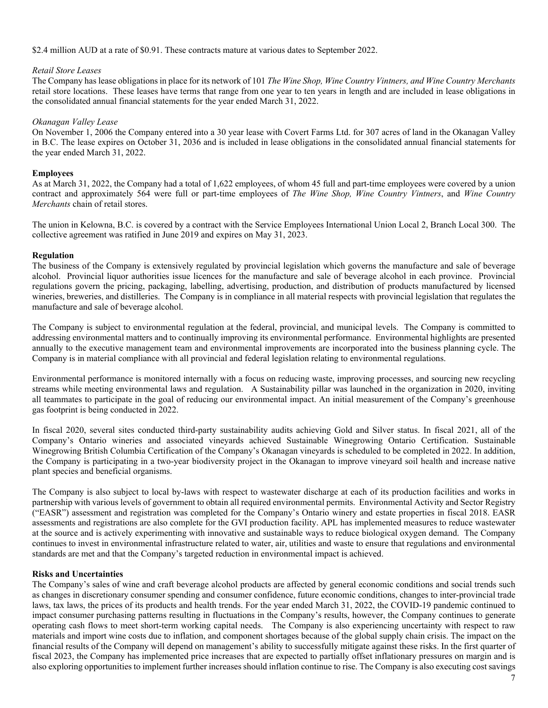\$2.4 million AUD at a rate of \$0.91. These contracts mature at various dates to September 2022.

## *Retail Store Leases*

The Company has lease obligations in place for its network of 101 *The Wine Shop, Wine Country Vintners, and Wine Country Merchants* retail store locations. These leases have terms that range from one year to ten years in length and are included in lease obligations in the consolidated annual financial statements for the year ended March 31, 2022.

## *Okanagan Valley Lease*

On November 1, 2006 the Company entered into a 30 year lease with Covert Farms Ltd. for 307 acres of land in the Okanagan Valley in B.C. The lease expires on October 31, 2036 and is included in lease obligations in the consolidated annual financial statements for the year ended March 31, 2022.

#### **Employees**

As at March 31, 2022, the Company had a total of 1,622 employees, of whom 45 full and part-time employees were covered by a union contract and approximately 564 were full or part-time employees of *The Wine Shop, Wine Country Vintners*, and *Wine Country Merchants* chain of retail stores.

The union in Kelowna, B.C. is covered by a contract with the Service Employees International Union Local 2, Branch Local 300. The collective agreement was ratified in June 2019 and expires on May 31, 2023.

## **Regulation**

The business of the Company is extensively regulated by provincial legislation which governs the manufacture and sale of beverage alcohol. Provincial liquor authorities issue licences for the manufacture and sale of beverage alcohol in each province. Provincial regulations govern the pricing, packaging, labelling, advertising, production, and distribution of products manufactured by licensed wineries, breweries, and distilleries. The Company is in compliance in all material respects with provincial legislation that regulates the manufacture and sale of beverage alcohol.

The Company is subject to environmental regulation at the federal, provincial, and municipal levels. The Company is committed to addressing environmental matters and to continually improving its environmental performance. Environmental highlights are presented annually to the executive management team and environmental improvements are incorporated into the business planning cycle. The Company is in material compliance with all provincial and federal legislation relating to environmental regulations.

Environmental performance is monitored internally with a focus on reducing waste, improving processes, and sourcing new recycling streams while meeting environmental laws and regulation. A Sustainability pillar was launched in the organization in 2020, inviting all teammates to participate in the goal of reducing our environmental impact. An initial measurement of the Company's greenhouse gas footprint is being conducted in 2022.

In fiscal 2020, several sites conducted third-party sustainability audits achieving Gold and Silver status. In fiscal 2021, all of the Company's Ontario wineries and associated vineyards achieved Sustainable Winegrowing Ontario Certification. Sustainable Winegrowing British Columbia Certification of the Company's Okanagan vineyards is scheduled to be completed in 2022. In addition, the Company is participating in a two-year biodiversity project in the Okanagan to improve vineyard soil health and increase native plant species and beneficial organisms.

The Company is also subject to local by-laws with respect to wastewater discharge at each of its production facilities and works in partnership with various levels of government to obtain all required environmental permits. Environmental Activity and Sector Registry ("EASR") assessment and registration was completed for the Company's Ontario winery and estate properties in fiscal 2018. EASR assessments and registrations are also complete for the GVI production facility. APL has implemented measures to reduce wastewater at the source and is actively experimenting with innovative and sustainable ways to reduce biological oxygen demand. The Company continues to invest in environmental infrastructure related to water, air, utilities and waste to ensure that regulations and environmental standards are met and that the Company's targeted reduction in environmental impact is achieved.

#### **Risks and Uncertainties**

The Company's sales of wine and craft beverage alcohol products are affected by general economic conditions and social trends such as changes in discretionary consumer spending and consumer confidence, future economic conditions, changes to inter-provincial trade laws, tax laws, the prices of its products and health trends. For the year ended March 31, 2022, the COVID-19 pandemic continued to impact consumer purchasing patterns resulting in fluctuations in the Company's results, however, the Company continues to generate operating cash flows to meet short-term working capital needs. The Company is also experiencing uncertainty with respect to raw materials and import wine costs due to inflation, and component shortages because of the global supply chain crisis. The impact on the financial results of the Company will depend on management's ability to successfully mitigate against these risks. In the first quarter of fiscal 2023, the Company has implemented price increases that are expected to partially offset inflationary pressures on margin and is also exploring opportunities to implement further increases should inflation continue to rise. The Company is also executing cost savings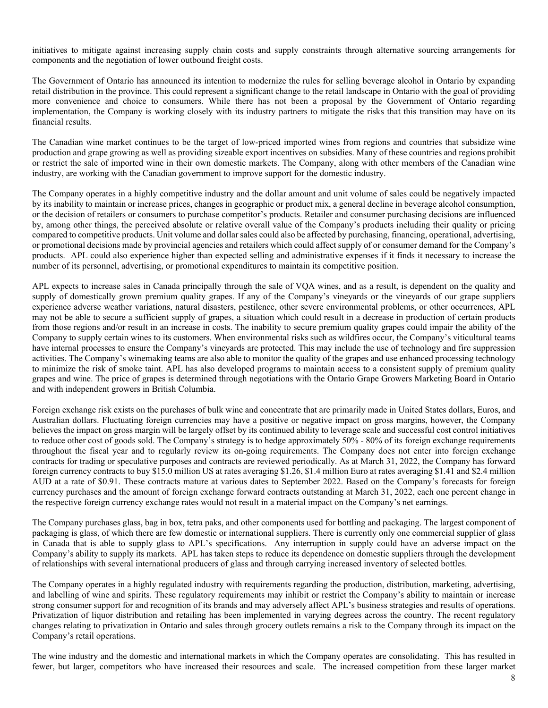initiatives to mitigate against increasing supply chain costs and supply constraints through alternative sourcing arrangements for components and the negotiation of lower outbound freight costs.

The Government of Ontario has announced its intention to modernize the rules for selling beverage alcohol in Ontario by expanding retail distribution in the province. This could represent a significant change to the retail landscape in Ontario with the goal of providing more convenience and choice to consumers. While there has not been a proposal by the Government of Ontario regarding implementation, the Company is working closely with its industry partners to mitigate the risks that this transition may have on its financial results.

The Canadian wine market continues to be the target of low-priced imported wines from regions and countries that subsidize wine production and grape growing as well as providing sizeable export incentives on subsidies. Many of these countries and regions prohibit or restrict the sale of imported wine in their own domestic markets. The Company, along with other members of the Canadian wine industry, are working with the Canadian government to improve support for the domestic industry.

The Company operates in a highly competitive industry and the dollar amount and unit volume of sales could be negatively impacted by its inability to maintain or increase prices, changes in geographic or product mix, a general decline in beverage alcohol consumption, or the decision of retailers or consumers to purchase competitor's products. Retailer and consumer purchasing decisions are influenced by, among other things, the perceived absolute or relative overall value of the Company's products including their quality or pricing compared to competitive products. Unit volume and dollar sales could also be affected by purchasing, financing, operational, advertising, or promotional decisions made by provincial agencies and retailers which could affect supply of or consumer demand for the Company's products. APL could also experience higher than expected selling and administrative expenses if it finds it necessary to increase the number of its personnel, advertising, or promotional expenditures to maintain its competitive position.

APL expects to increase sales in Canada principally through the sale of VQA wines, and as a result, is dependent on the quality and supply of domestically grown premium quality grapes. If any of the Company's vineyards or the vineyards of our grape suppliers experience adverse weather variations, natural disasters, pestilence, other severe environmental problems, or other occurrences, APL may not be able to secure a sufficient supply of grapes, a situation which could result in a decrease in production of certain products from those regions and/or result in an increase in costs. The inability to secure premium quality grapes could impair the ability of the Company to supply certain wines to its customers. When environmental risks such as wildfires occur, the Company's viticultural teams have internal processes to ensure the Company's vineyards are protected. This may include the use of technology and fire suppression activities. The Company's winemaking teams are also able to monitor the quality of the grapes and use enhanced processing technology to minimize the risk of smoke taint. APL has also developed programs to maintain access to a consistent supply of premium quality grapes and wine. The price of grapes is determined through negotiations with the Ontario Grape Growers Marketing Board in Ontario and with independent growers in British Columbia.

Foreign exchange risk exists on the purchases of bulk wine and concentrate that are primarily made in United States dollars, Euros, and Australian dollars. Fluctuating foreign currencies may have a positive or negative impact on gross margins, however, the Company believes the impact on gross margin will be largely offset by its continued ability to leverage scale and successful cost control initiatives to reduce other cost of goods sold. The Company's strategy is to hedge approximately 50% - 80% of its foreign exchange requirements throughout the fiscal year and to regularly review its on-going requirements. The Company does not enter into foreign exchange contracts for trading or speculative purposes and contracts are reviewed periodically. As at March 31, 2022, the Company has forward foreign currency contracts to buy \$15.0 million US at rates averaging \$1.26, \$1.4 million Euro at rates averaging \$1.41 and \$2.4 million AUD at a rate of \$0.91. These contracts mature at various dates to September 2022. Based on the Company's forecasts for foreign currency purchases and the amount of foreign exchange forward contracts outstanding at March 31, 2022, each one percent change in the respective foreign currency exchange rates would not result in a material impact on the Company's net earnings.

The Company purchases glass, bag in box, tetra paks, and other components used for bottling and packaging. The largest component of packaging is glass, of which there are few domestic or international suppliers. There is currently only one commercial supplier of glass in Canada that is able to supply glass to APL's specifications. Any interruption in supply could have an adverse impact on the Company's ability to supply its markets. APL has taken steps to reduce its dependence on domestic suppliers through the development of relationships with several international producers of glass and through carrying increased inventory of selected bottles.

The Company operates in a highly regulated industry with requirements regarding the production, distribution, marketing, advertising, and labelling of wine and spirits. These regulatory requirements may inhibit or restrict the Company's ability to maintain or increase strong consumer support for and recognition of its brands and may adversely affect APL's business strategies and results of operations. Privatization of liquor distribution and retailing has been implemented in varying degrees across the country. The recent regulatory changes relating to privatization in Ontario and sales through grocery outlets remains a risk to the Company through its impact on the Company's retail operations.

The wine industry and the domestic and international markets in which the Company operates are consolidating. This has resulted in fewer, but larger, competitors who have increased their resources and scale. The increased competition from these larger market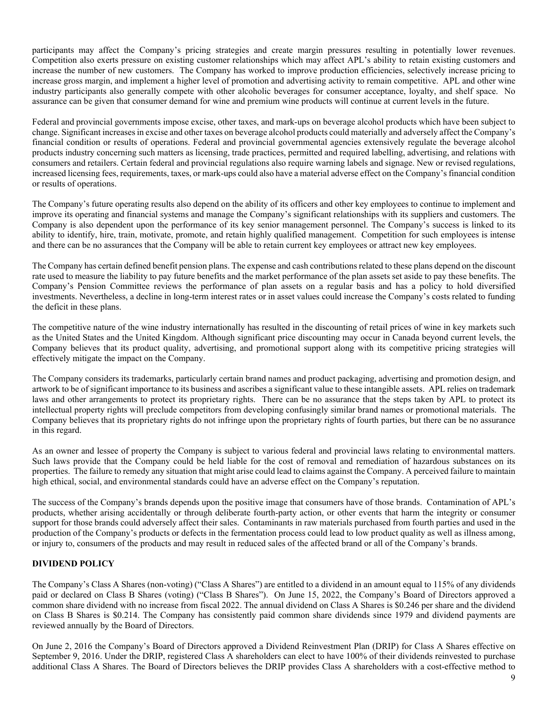participants may affect the Company's pricing strategies and create margin pressures resulting in potentially lower revenues. Competition also exerts pressure on existing customer relationships which may affect APL's ability to retain existing customers and increase the number of new customers. The Company has worked to improve production efficiencies, selectively increase pricing to increase gross margin, and implement a higher level of promotion and advertising activity to remain competitive. APL and other wine industry participants also generally compete with other alcoholic beverages for consumer acceptance, loyalty, and shelf space. No assurance can be given that consumer demand for wine and premium wine products will continue at current levels in the future.

Federal and provincial governments impose excise, other taxes, and mark-ups on beverage alcohol products which have been subject to change. Significant increases in excise and other taxes on beverage alcohol products could materially and adversely affect the Company's financial condition or results of operations. Federal and provincial governmental agencies extensively regulate the beverage alcohol products industry concerning such matters as licensing, trade practices, permitted and required labelling, advertising, and relations with consumers and retailers. Certain federal and provincial regulations also require warning labels and signage. New or revised regulations, increased licensing fees, requirements, taxes, or mark-ups could also have a material adverse effect on the Company's financial condition or results of operations.

The Company's future operating results also depend on the ability of its officers and other key employees to continue to implement and improve its operating and financial systems and manage the Company's significant relationships with its suppliers and customers. The Company is also dependent upon the performance of its key senior management personnel. The Company's success is linked to its ability to identify, hire, train, motivate, promote, and retain highly qualified management. Competition for such employees is intense and there can be no assurances that the Company will be able to retain current key employees or attract new key employees.

The Company has certain defined benefit pension plans. The expense and cash contributions related to these plans depend on the discount rate used to measure the liability to pay future benefits and the market performance of the plan assets set aside to pay these benefits. The Company's Pension Committee reviews the performance of plan assets on a regular basis and has a policy to hold diversified investments. Nevertheless, a decline in long-term interest rates or in asset values could increase the Company's costs related to funding the deficit in these plans.

The competitive nature of the wine industry internationally has resulted in the discounting of retail prices of wine in key markets such as the United States and the United Kingdom. Although significant price discounting may occur in Canada beyond current levels, the Company believes that its product quality, advertising, and promotional support along with its competitive pricing strategies will effectively mitigate the impact on the Company.

The Company considers its trademarks, particularly certain brand names and product packaging, advertising and promotion design, and artwork to be of significant importance to its business and ascribes a significant value to these intangible assets. APL relies on trademark laws and other arrangements to protect its proprietary rights. There can be no assurance that the steps taken by APL to protect its intellectual property rights will preclude competitors from developing confusingly similar brand names or promotional materials. The Company believes that its proprietary rights do not infringe upon the proprietary rights of fourth parties, but there can be no assurance in this regard.

As an owner and lessee of property the Company is subject to various federal and provincial laws relating to environmental matters. Such laws provide that the Company could be held liable for the cost of removal and remediation of hazardous substances on its properties. The failure to remedy any situation that might arise could lead to claims against the Company. A perceived failure to maintain high ethical, social, and environmental standards could have an adverse effect on the Company's reputation.

The success of the Company's brands depends upon the positive image that consumers have of those brands. Contamination of APL's products, whether arising accidentally or through deliberate fourth-party action, or other events that harm the integrity or consumer support for those brands could adversely affect their sales. Contaminants in raw materials purchased from fourth parties and used in the production of the Company's products or defects in the fermentation process could lead to low product quality as well as illness among, or injury to, consumers of the products and may result in reduced sales of the affected brand or all of the Company's brands.

# **DIVIDEND POLICY**

The Company's Class A Shares (non-voting) ("Class A Shares") are entitled to a dividend in an amount equal to 115% of any dividends paid or declared on Class B Shares (voting) ("Class B Shares"). On June 15, 2022, the Company's Board of Directors approved a common share dividend with no increase from fiscal 2022. The annual dividend on Class A Shares is \$0.246 per share and the dividend on Class B Shares is \$0.214. The Company has consistently paid common share dividends since 1979 and dividend payments are reviewed annually by the Board of Directors.

On June 2, 2016 the Company's Board of Directors approved a Dividend Reinvestment Plan (DRIP) for Class A Shares effective on September 9, 2016. Under the DRIP, registered Class A shareholders can elect to have 100% of their dividends reinvested to purchase additional Class A Shares. The Board of Directors believes the DRIP provides Class A shareholders with a cost-effective method to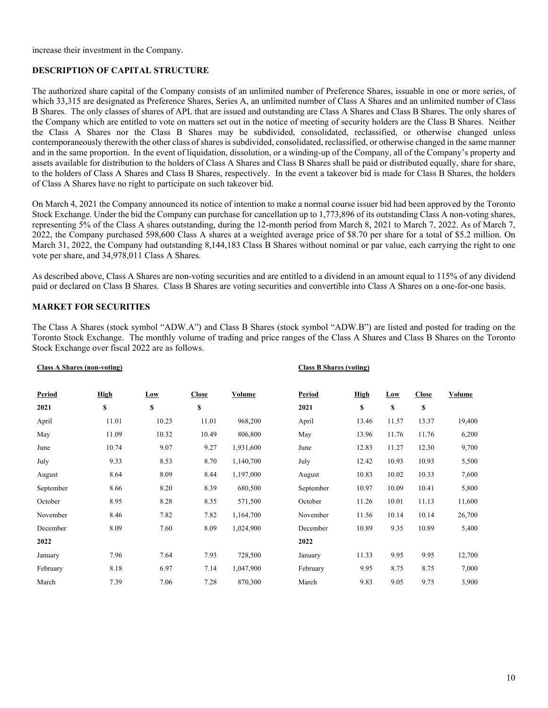increase their investment in the Company.

## **DESCRIPTION OF CAPITAL STRUCTURE**

The authorized share capital of the Company consists of an unlimited number of Preference Shares, issuable in one or more series, of which 33,315 are designated as Preference Shares, Series A, an unlimited number of Class A Shares and an unlimited number of Class B Shares. The only classes of shares of APL that are issued and outstanding are Class A Shares and Class B Shares. The only shares of the Company which are entitled to vote on matters set out in the notice of meeting of security holders are the Class B Shares. Neither the Class A Shares nor the Class B Shares may be subdivided, consolidated, reclassified, or otherwise changed unless contemporaneously therewith the other class of shares is subdivided, consolidated, reclassified, or otherwise changed in the same manner and in the same proportion. In the event of liquidation, dissolution, or a winding-up of the Company, all of the Company's property and assets available for distribution to the holders of Class A Shares and Class B Shares shall be paid or distributed equally, share for share, to the holders of Class A Shares and Class B Shares, respectively. In the event a takeover bid is made for Class B Shares, the holders of Class A Shares have no right to participate on such takeover bid.

On March 4, 2021 the Company announced its notice of intention to make a normal course issuer bid had been approved by the Toronto Stock Exchange. Under the bid the Company can purchase for cancellation up to 1,773,896 of its outstanding Class A non-voting shares, representing 5% of the Class A shares outstanding, during the 12-month period from March 8, 2021 to March 7, 2022. As of March 7, 2022, the Company purchased 598,600 Class A shares at a weighted average price of \$8.70 per share for a total of \$5.2 million. On March 31, 2022, the Company had outstanding 8,144,183 Class B Shares without nominal or par value, each carrying the right to one vote per share, and 34,978,011 Class A Shares.

As described above, Class A Shares are non-voting securities and are entitled to a dividend in an amount equal to 115% of any dividend paid or declared on Class B Shares. Class B Shares are voting securities and convertible into Class A Shares on a one-for-one basis.

## **MARKET FOR SECURITIES**

The Class A Shares (stock symbol "ADW.A") and Class B Shares (stock symbol "ADW.B") are listed and posted for trading on the Toronto Stock Exchange. The monthly volume of trading and price ranges of the Class A Shares and Class B Shares on the Toronto Stock Exchange over fiscal 2022 are as follows.

| <b>Class A Shares (non-voting)</b> |             |       |              | <b>Class B Shares (voting)</b> |               |             |       |              |        |
|------------------------------------|-------------|-------|--------------|--------------------------------|---------------|-------------|-------|--------------|--------|
| Period                             | <b>High</b> | Low   | <b>Close</b> | Volume                         | <b>Period</b> | <b>High</b> | Low   | <b>Close</b> | Volume |
| 2021                               | \$          | \$    | \$           |                                | 2021          | \$          | \$    | \$           |        |
| April                              | 11.01       | 10.23 | 11.01        | 968,200                        | April         | 13.46       | 11.57 | 13.37        | 19,400 |
| May                                | 11.09       | 10.32 | 10.49        | 806,800                        | May           | 13.96       | 11.76 | 11.76        | 6,200  |
| June                               | 10.74       | 9.07  | 9.27         | 1,931,600                      | June          | 12.83       | 11.27 | 12.30        | 9,700  |
| July                               | 9.33        | 8.53  | 8.70         | 1,140,700                      | July          | 12.42       | 10.93 | 10.93        | 5,500  |
| August                             | 8.64        | 8.09  | 8.44         | 1,197,000                      | August        | 10.83       | 10.02 | 10.33        | 7,600  |
| September                          | 8.66        | 8.20  | 8.39         | 680,500                        | September     | 10.97       | 10.09 | 10.41        | 5,800  |
| October                            | 8.95        | 8.28  | 8.35         | 571,500                        | October       | 11.26       | 10.01 | 11.13        | 11,600 |
| November                           | 8.46        | 7.82  | 7.82         | 1,164,700                      | November      | 11.56       | 10.14 | 10.14        | 26,700 |
| December                           | 8.09        | 7.60  | 8.09         | 1,024,900                      | December      | 10.89       | 9.35  | 10.89        | 5,400  |
| 2022                               |             |       |              |                                | 2022          |             |       |              |        |
| January                            | 7.96        | 7.64  | 7.93         | 728,500                        | January       | 11.33       | 9.95  | 9.95         | 12,700 |
| February                           | 8.18        | 6.97  | 7.14         | 1,047,900                      | February      | 9.95        | 8.75  | 8.75         | 7,000  |
| March                              | 7.39        | 7.06  | 7.28         | 870,300                        | March         | 9.83        | 9.05  | 9.75         | 3,900  |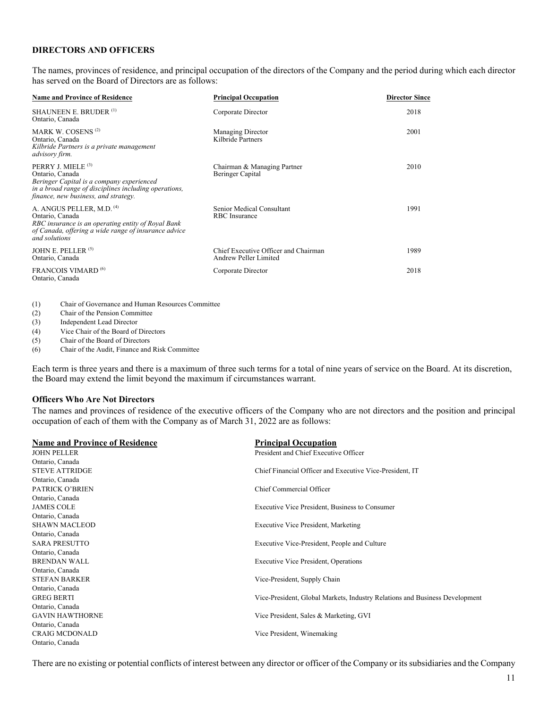#### **DIRECTORS AND OFFICERS**

The names, provinces of residence, and principal occupation of the directors of the Company and the period during which each director has served on the Board of Directors are as follows:

| <b>Name and Province of Residence</b>                                                                                                                                                          | <b>Principal Occupation</b>                                   | <b>Director Since</b> |
|------------------------------------------------------------------------------------------------------------------------------------------------------------------------------------------------|---------------------------------------------------------------|-----------------------|
| SHAUNEEN E. BRUDER <sup>(1)</sup><br>Ontario, Canada                                                                                                                                           | Corporate Director                                            | 2018                  |
| MARK W. COSENS <sup>(2)</sup><br>Ontario, Canada<br>Kilbride Partners is a private management<br><i>advisory firm.</i>                                                                         | Managing Director<br>Kilbride Partners                        | 2001                  |
| PERRY J. MIELE <sup>(3)</sup><br>Ontario, Canada<br>Beringer Capital is a company experienced<br>in a broad range of disciplines including operations,<br>finance, new business, and strategy. | Chairman & Managing Partner<br>Beringer Capital               | 2010                  |
| A. ANGUS PELLER, M.D. <sup>(4)</sup><br>Ontario, Canada<br>RBC insurance is an operating entity of Royal Bank<br>of Canada, offering a wide range of insurance advice<br>and solutions         | Senior Medical Consultant<br><b>RBC</b> Insurance             | 1991                  |
| JOHN E. PELLER $(5)$<br>Ontario, Canada                                                                                                                                                        | Chief Executive Officer and Chairman<br>Andrew Peller Limited | 1989                  |
| <b>FRANCOIS VIMARD</b> <sup>(6)</sup><br>Ontario, Canada                                                                                                                                       | Corporate Director                                            | 2018                  |

(1) Chair of Governance and Human Resources Committee

(2) Chair of the Pension Committee

(3) Independent Lead Director

(4) Vice Chair of the Board of Directors

(5) Chair of the Board of Directors

(6) Chair of the Audit, Finance and Risk Committee

Each term is three years and there is a maximum of three such terms for a total of nine years of service on the Board. At its discretion, the Board may extend the limit beyond the maximum if circumstances warrant.

## **Officers Who Are Not Directors**

The names and provinces of residence of the executive officers of the Company who are not directors and the position and principal occupation of each of them with the Company as of March 31, 2022 are as follows:

| <b>Name and Province of Residence</b> | <b>Principal Occupation</b>                                                 |
|---------------------------------------|-----------------------------------------------------------------------------|
| <b>JOHN PELLER</b>                    | President and Chief Executive Officer                                       |
| Ontario, Canada                       |                                                                             |
| <b>STEVE ATTRIDGE</b>                 | Chief Financial Officer and Executive Vice-President, IT                    |
| Ontario, Canada                       |                                                                             |
| <b>PATRICK O'BRIEN</b>                | Chief Commercial Officer                                                    |
| Ontario, Canada                       |                                                                             |
| <b>JAMES COLE</b>                     | Executive Vice President, Business to Consumer                              |
| Ontario, Canada                       |                                                                             |
| <b>SHAWN MACLEOD</b>                  | Executive Vice President, Marketing                                         |
| Ontario, Canada                       |                                                                             |
| <b>SARA PRESUTTO</b>                  | Executive Vice-President, People and Culture                                |
| Ontario, Canada                       |                                                                             |
| <b>BRENDAN WALL</b>                   | <b>Executive Vice President, Operations</b>                                 |
| Ontario, Canada                       |                                                                             |
| <b>STEFAN BARKER</b>                  | Vice-President, Supply Chain                                                |
| Ontario, Canada                       |                                                                             |
| <b>GREG BERTI</b>                     | Vice-President, Global Markets, Industry Relations and Business Development |
| Ontario, Canada                       |                                                                             |
| <b>GAVIN HAWTHORNE</b>                | Vice President, Sales & Marketing, GVI                                      |
| Ontario, Canada                       |                                                                             |
| <b>CRAIG MCDONALD</b>                 | Vice President, Winemaking                                                  |
| Ontario, Canada                       |                                                                             |

There are no existing or potential conflicts of interest between any director or officer of the Company or its subsidiaries and the Company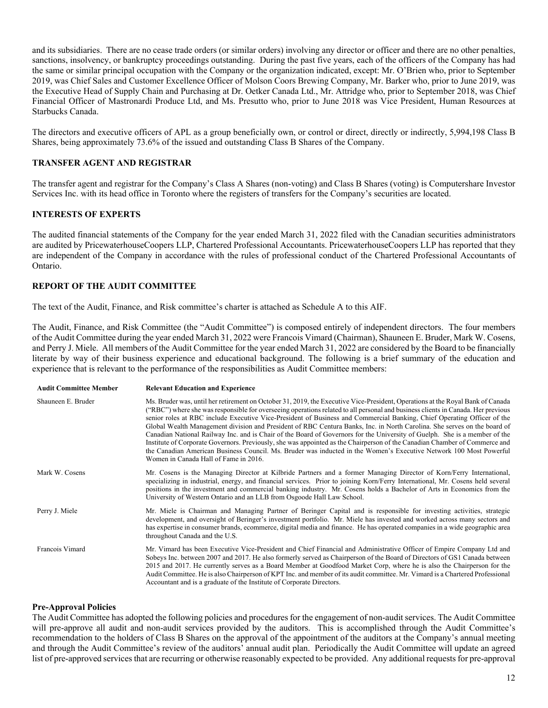and its subsidiaries. There are no cease trade orders (or similar orders) involving any director or officer and there are no other penalties, sanctions, insolvency, or bankruptcy proceedings outstanding. During the past five years, each of the officers of the Company has had the same or similar principal occupation with the Company or the organization indicated, except: Mr. O'Brien who, prior to September 2019, was Chief Sales and Customer Excellence Officer of Molson Coors Brewing Company, Mr. Barker who, prior to June 2019, was the Executive Head of Supply Chain and Purchasing at Dr. Oetker Canada Ltd., Mr. Attridge who, prior to September 2018, was Chief Financial Officer of Mastronardi Produce Ltd, and Ms. Presutto who, prior to June 2018 was Vice President, Human Resources at Starbucks Canada.

The directors and executive officers of APL as a group beneficially own, or control or direct, directly or indirectly, 5,994,198 Class B Shares, being approximately 73.6% of the issued and outstanding Class B Shares of the Company.

## **TRANSFER AGENT AND REGISTRAR**

The transfer agent and registrar for the Company's Class A Shares (non-voting) and Class B Shares (voting) is Computershare Investor Services Inc. with its head office in Toronto where the registers of transfers for the Company's securities are located.

## **INTERESTS OF EXPERTS**

The audited financial statements of the Company for the year ended March 31, 2022 filed with the Canadian securities administrators are audited by PricewaterhouseCoopers LLP, Chartered Professional Accountants. PricewaterhouseCoopers LLP has reported that they are independent of the Company in accordance with the rules of professional conduct of the Chartered Professional Accountants of Ontario.

## **REPORT OF THE AUDIT COMMITTEE**

The text of the Audit, Finance, and Risk committee's charter is attached as Schedule A to this AIF.

The Audit, Finance, and Risk Committee (the "Audit Committee") is composed entirely of independent directors. The four members of the Audit Committee during the year ended March 31, 2022 were Francois Vimard (Chairman), Shauneen E. Bruder, Mark W. Cosens, and Perry J. Miele. All members of the Audit Committee for the year ended March 31, 2022 are considered by the Board to be financially literate by way of their business experience and educational background. The following is a brief summary of the education and experience that is relevant to the performance of the responsibilities as Audit Committee members:

| <b>Audit Committee Member</b> | <b>Relevant Education and Experience</b>                                                                                                                                                                                                                                                                                                                                                                                                                                                                                                                                                                                                                                                                                                                                                                                                                                                                                                             |
|-------------------------------|------------------------------------------------------------------------------------------------------------------------------------------------------------------------------------------------------------------------------------------------------------------------------------------------------------------------------------------------------------------------------------------------------------------------------------------------------------------------------------------------------------------------------------------------------------------------------------------------------------------------------------------------------------------------------------------------------------------------------------------------------------------------------------------------------------------------------------------------------------------------------------------------------------------------------------------------------|
| Shauneen E. Bruder            | Ms. Bruder was, until her retirement on October 31, 2019, the Executive Vice-President, Operations at the Royal Bank of Canada<br>("RBC") where she was responsible for overseeing operations related to all personal and business clients in Canada. Her previous<br>senior roles at RBC include Executive Vice-President of Business and Commercial Banking, Chief Operating Officer of the<br>Global Wealth Management division and President of RBC Centura Banks, Inc. in North Carolina. She serves on the board of<br>Canadian National Railway Inc. and is Chair of the Board of Governors for the University of Guelph. She is a member of the<br>Institute of Corporate Governors. Previously, she was appointed as the Chairperson of the Canadian Chamber of Commerce and<br>the Canadian American Business Council. Ms. Bruder was inducted in the Women's Executive Network 100 Most Powerful<br>Women in Canada Hall of Fame in 2016. |
| Mark W. Cosens                | Mr. Cosens is the Managing Director at Kilbride Partners and a former Managing Director of Korn/Ferry International,<br>specializing in industrial, energy, and financial services. Prior to joining Korn/Ferry International, Mr. Cosens held several<br>positions in the investment and commercial banking industry. Mr. Cosens holds a Bachelor of Arts in Economics from the<br>University of Western Ontario and an LLB from Osgoode Hall Law School.                                                                                                                                                                                                                                                                                                                                                                                                                                                                                           |
| Perry J. Miele                | Mr. Miele is Chairman and Managing Partner of Beringer Capital and is responsible for investing activities, strategic<br>development, and oversight of Beringer's investment portfolio. Mr. Miele has invested and worked across many sectors and<br>has expertise in consumer brands, ecommerce, digital media and finance. He has operated companies in a wide geographic area<br>throughout Canada and the U.S.                                                                                                                                                                                                                                                                                                                                                                                                                                                                                                                                   |
| Francois Vimard               | Mr. Vimard has been Executive Vice-President and Chief Financial and Administrative Officer of Empire Company Ltd and<br>Sobeys Inc. between 2007 and 2017. He also formerly served as Chairperson of the Board of Directors of GS1 Canada between<br>2015 and 2017. He currently serves as a Board Member at Goodfood Market Corp, where he is also the Chairperson for the<br>Audit Committee. He is also Chairperson of KPT Inc. and member of its audit committee. Mr. Vimard is a Chartered Professional<br>Accountant and is a graduate of the Institute of Corporate Directors.                                                                                                                                                                                                                                                                                                                                                               |

#### **Pre-Approval Policies**

The Audit Committee has adopted the following policies and procedures for the engagement of non-audit services. The Audit Committee will pre-approve all audit and non-audit services provided by the auditors. This is accomplished through the Audit Committee's recommendation to the holders of Class B Shares on the approval of the appointment of the auditors at the Company's annual meeting and through the Audit Committee's review of the auditors' annual audit plan. Periodically the Audit Committee will update an agreed list of pre-approved services that are recurring or otherwise reasonably expected to be provided. Any additional requests for pre-approval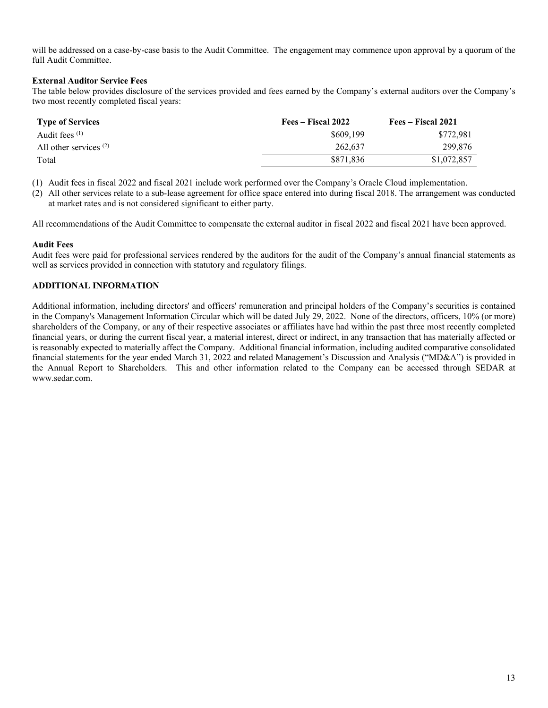will be addressed on a case-by-case basis to the Audit Committee. The engagement may commence upon approval by a quorum of the full Audit Committee.

# **External Auditor Service Fees**

The table below provides disclosure of the services provided and fees earned by the Company's external auditors over the Company's two most recently completed fiscal years:

| <b>Type of Services</b>  | $Fees - Fiscal 2022$ | Fees – Fiscal 2021 |
|--------------------------|----------------------|--------------------|
| Audit fees $(1)$         | \$609,199            | \$772.981          |
| All other services $(2)$ | 262,637              | 299,876            |
| Total                    | \$871,836            | \$1,072,857        |

(1) Audit fees in fiscal 2022 and fiscal 2021 include work performed over the Company's Oracle Cloud implementation.

(2) All other services relate to a sub-lease agreement for office space entered into during fiscal 2018. The arrangement was conducted at market rates and is not considered significant to either party.

All recommendations of the Audit Committee to compensate the external auditor in fiscal 2022 and fiscal 2021 have been approved.

## **Audit Fees**

Audit fees were paid for professional services rendered by the auditors for the audit of the Company's annual financial statements as well as services provided in connection with statutory and regulatory filings.

## **ADDITIONAL INFORMATION**

Additional information, including directors' and officers' remuneration and principal holders of the Company's securities is contained in the Company's Management Information Circular which will be dated July 29, 2022. None of the directors, officers, 10% (or more) shareholders of the Company, or any of their respective associates or affiliates have had within the past three most recently completed financial years, or during the current fiscal year, a material interest, direct or indirect, in any transaction that has materially affected or is reasonably expected to materially affect the Company. Additional financial information, including audited comparative consolidated financial statements for the year ended March 31, 2022 and related Management's Discussion and Analysis ("MD&A") is provided in the Annual Report to Shareholders. This and other information related to the Company can be accessed through SEDAR at www.sedar.com.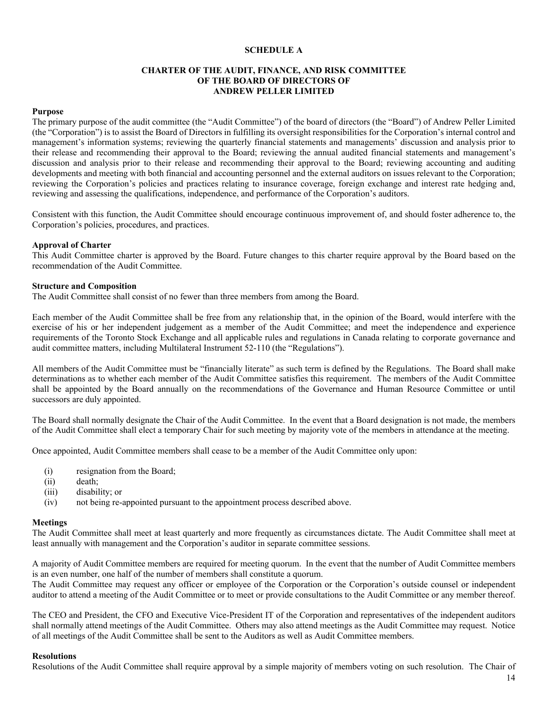## **SCHEDULE A**

## **CHARTER OF THE AUDIT, FINANCE, AND RISK COMMITTEE OF THE BOARD OF DIRECTORS OF ANDREW PELLER LIMITED**

#### **Purpose**

The primary purpose of the audit committee (the "Audit Committee") of the board of directors (the "Board") of Andrew Peller Limited (the "Corporation") is to assist the Board of Directors in fulfilling its oversight responsibilities for the Corporation's internal control and management's information systems; reviewing the quarterly financial statements and managements' discussion and analysis prior to their release and recommending their approval to the Board; reviewing the annual audited financial statements and management's discussion and analysis prior to their release and recommending their approval to the Board; reviewing accounting and auditing developments and meeting with both financial and accounting personnel and the external auditors on issues relevant to the Corporation; reviewing the Corporation's policies and practices relating to insurance coverage, foreign exchange and interest rate hedging and, reviewing and assessing the qualifications, independence, and performance of the Corporation's auditors.

Consistent with this function, the Audit Committee should encourage continuous improvement of, and should foster adherence to, the Corporation's policies, procedures, and practices.

#### **Approval of Charter**

This Audit Committee charter is approved by the Board. Future changes to this charter require approval by the Board based on the recommendation of the Audit Committee.

#### **Structure and Composition**

The Audit Committee shall consist of no fewer than three members from among the Board.

Each member of the Audit Committee shall be free from any relationship that, in the opinion of the Board, would interfere with the exercise of his or her independent judgement as a member of the Audit Committee; and meet the independence and experience requirements of the Toronto Stock Exchange and all applicable rules and regulations in Canada relating to corporate governance and audit committee matters, including Multilateral Instrument 52-110 (the "Regulations").

All members of the Audit Committee must be "financially literate" as such term is defined by the Regulations. The Board shall make determinations as to whether each member of the Audit Committee satisfies this requirement. The members of the Audit Committee shall be appointed by the Board annually on the recommendations of the Governance and Human Resource Committee or until successors are duly appointed.

The Board shall normally designate the Chair of the Audit Committee. In the event that a Board designation is not made, the members of the Audit Committee shall elect a temporary Chair for such meeting by majority vote of the members in attendance at the meeting.

Once appointed, Audit Committee members shall cease to be a member of the Audit Committee only upon:

- (i) resignation from the Board;
- (ii) death;
- (iii) disability; or
- (iv) not being re-appointed pursuant to the appointment process described above.

#### **Meetings**

The Audit Committee shall meet at least quarterly and more frequently as circumstances dictate. The Audit Committee shall meet at least annually with management and the Corporation's auditor in separate committee sessions.

A majority of Audit Committee members are required for meeting quorum. In the event that the number of Audit Committee members is an even number, one half of the number of members shall constitute a quorum.

The Audit Committee may request any officer or employee of the Corporation or the Corporation's outside counsel or independent auditor to attend a meeting of the Audit Committee or to meet or provide consultations to the Audit Committee or any member thereof.

The CEO and President, the CFO and Executive Vice-President IT of the Corporation and representatives of the independent auditors shall normally attend meetings of the Audit Committee. Others may also attend meetings as the Audit Committee may request. Notice of all meetings of the Audit Committee shall be sent to the Auditors as well as Audit Committee members.

#### **Resolutions**

Resolutions of the Audit Committee shall require approval by a simple majority of members voting on such resolution. The Chair of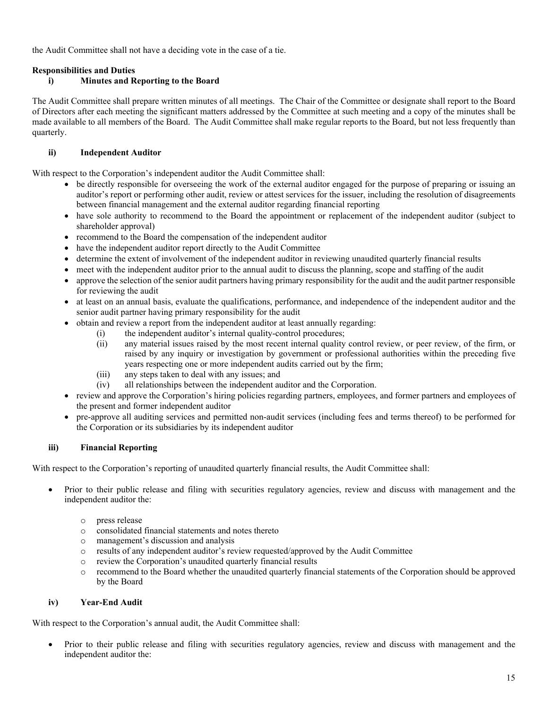the Audit Committee shall not have a deciding vote in the case of a tie.

## **Responsibilities and Duties**

## **i) Minutes and Reporting to the Board**

The Audit Committee shall prepare written minutes of all meetings. The Chair of the Committee or designate shall report to the Board of Directors after each meeting the significant matters addressed by the Committee at such meeting and a copy of the minutes shall be made available to all members of the Board. The Audit Committee shall make regular reports to the Board, but not less frequently than quarterly.

## **ii) Independent Auditor**

With respect to the Corporation's independent auditor the Audit Committee shall:

- be directly responsible for overseeing the work of the external auditor engaged for the purpose of preparing or issuing an auditor's report or performing other audit, review or attest services for the issuer, including the resolution of disagreements between financial management and the external auditor regarding financial reporting
- have sole authority to recommend to the Board the appointment or replacement of the independent auditor (subject to shareholder approval)
- recommend to the Board the compensation of the independent auditor
- have the independent auditor report directly to the Audit Committee
- determine the extent of involvement of the independent auditor in reviewing unaudited quarterly financial results
- meet with the independent auditor prior to the annual audit to discuss the planning, scope and staffing of the audit
- approve the selection of the senior audit partners having primary responsibility for the audit and the audit partner responsible for reviewing the audit
- at least on an annual basis, evaluate the qualifications, performance, and independence of the independent auditor and the senior audit partner having primary responsibility for the audit
- obtain and review a report from the independent auditor at least annually regarding:
	- (i) the independent auditor's internal quality-control procedures;
		- (ii) any material issues raised by the most recent internal quality control review, or peer review, of the firm, or raised by any inquiry or investigation by government or professional authorities within the preceding five years respecting one or more independent audits carried out by the firm;
		- (iii) any steps taken to deal with any issues; and
	- (iv) all relationships between the independent auditor and the Corporation.
- review and approve the Corporation's hiring policies regarding partners, employees, and former partners and employees of the present and former independent auditor
- pre-approve all auditing services and permitted non-audit services (including fees and terms thereof) to be performed for the Corporation or its subsidiaries by its independent auditor

# **iii) Financial Reporting**

With respect to the Corporation's reporting of unaudited quarterly financial results, the Audit Committee shall:

- Prior to their public release and filing with securities regulatory agencies, review and discuss with management and the independent auditor the:
	- o press release
	- o consolidated financial statements and notes thereto
	- o management's discussion and analysis
	- o results of any independent auditor's review requested/approved by the Audit Committee
	- o review the Corporation's unaudited quarterly financial results
	- o recommend to the Board whether the unaudited quarterly financial statements of the Corporation should be approved by the Board

## **iv) Year-End Audit**

With respect to the Corporation's annual audit, the Audit Committee shall:

 Prior to their public release and filing with securities regulatory agencies, review and discuss with management and the independent auditor the: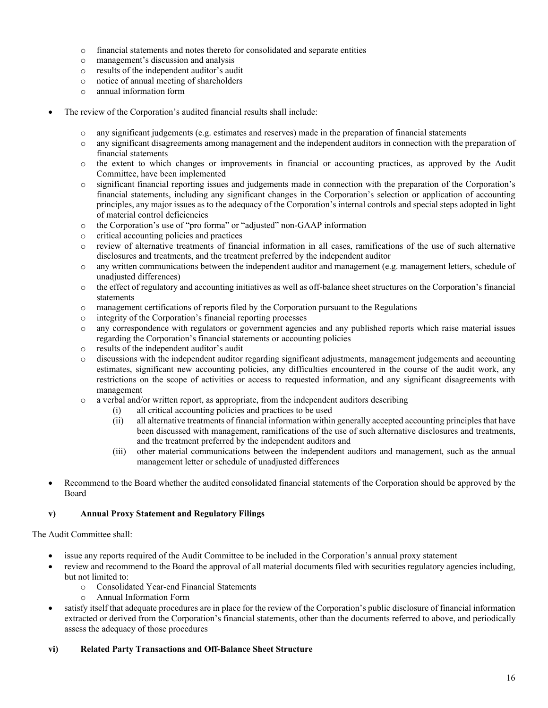- o financial statements and notes thereto for consolidated and separate entities
- o management's discussion and analysis
- o results of the independent auditor's audit
- o notice of annual meeting of shareholders
- o annual information form
- The review of the Corporation's audited financial results shall include:
	- $\circ$  any significant judgements (e.g. estimates and reserves) made in the preparation of financial statements
	- o any significant disagreements among management and the independent auditors in connection with the preparation of financial statements
	- o the extent to which changes or improvements in financial or accounting practices, as approved by the Audit Committee, have been implemented
	- o significant financial reporting issues and judgements made in connection with the preparation of the Corporation's financial statements, including any significant changes in the Corporation's selection or application of accounting principles, any major issues as to the adequacy of the Corporation's internal controls and special steps adopted in light of material control deficiencies
	- o the Corporation's use of "pro forma" or "adjusted" non-GAAP information
	- o critical accounting policies and practices
	- o review of alternative treatments of financial information in all cases, ramifications of the use of such alternative disclosures and treatments, and the treatment preferred by the independent auditor
	- o any written communications between the independent auditor and management (e.g. management letters, schedule of unadjusted differences)
	- $\circ$  the effect of regulatory and accounting initiatives as well as off-balance sheet structures on the Corporation's financial statements
	- o management certifications of reports filed by the Corporation pursuant to the Regulations
	- o integrity of the Corporation's financial reporting processes
	- o any correspondence with regulators or government agencies and any published reports which raise material issues regarding the Corporation's financial statements or accounting policies
	- o results of the independent auditor's audit
	- o discussions with the independent auditor regarding significant adjustments, management judgements and accounting estimates, significant new accounting policies, any difficulties encountered in the course of the audit work, any restrictions on the scope of activities or access to requested information, and any significant disagreements with management
	- o a verbal and/or written report, as appropriate, from the independent auditors describing
		- (i) all critical accounting policies and practices to be used
		- (ii) all alternative treatments of financial information within generally accepted accounting principles that have been discussed with management, ramifications of the use of such alternative disclosures and treatments, and the treatment preferred by the independent auditors and
		- (iii) other material communications between the independent auditors and management, such as the annual management letter or schedule of unadjusted differences
- Recommend to the Board whether the audited consolidated financial statements of the Corporation should be approved by the Board

# **v) Annual Proxy Statement and Regulatory Filings**

The Audit Committee shall:

- issue any reports required of the Audit Committee to be included in the Corporation's annual proxy statement
- review and recommend to the Board the approval of all material documents filed with securities regulatory agencies including, but not limited to:
	- o Consolidated Year-end Financial Statements
	- o Annual Information Form
- satisfy itself that adequate procedures are in place for the review of the Corporation's public disclosure of financial information extracted or derived from the Corporation's financial statements, other than the documents referred to above, and periodically assess the adequacy of those procedures

## **vi) Related Party Transactions and Off-Balance Sheet Structure**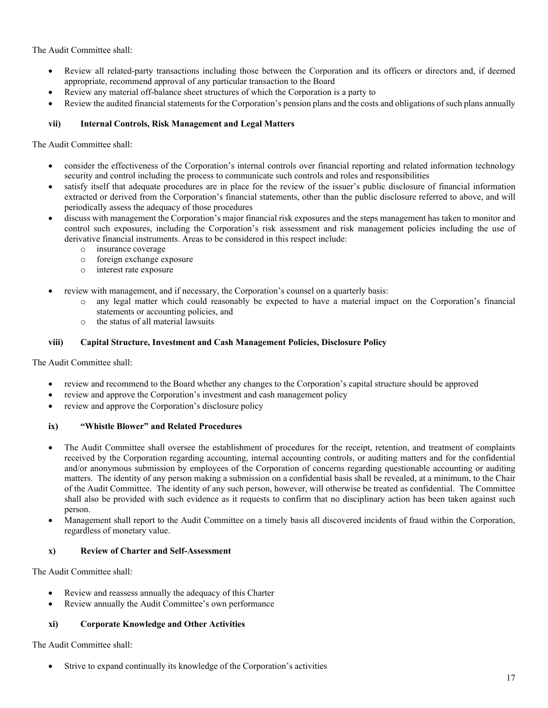The Audit Committee shall:

- Review all related-party transactions including those between the Corporation and its officers or directors and, if deemed appropriate, recommend approval of any particular transaction to the Board
- Review any material off-balance sheet structures of which the Corporation is a party to
- Review the audited financial statements for the Corporation's pension plans and the costs and obligations of such plans annually

## **vii) Internal Controls, Risk Management and Legal Matters**

The Audit Committee shall:

- consider the effectiveness of the Corporation's internal controls over financial reporting and related information technology security and control including the process to communicate such controls and roles and responsibilities
- satisfy itself that adequate procedures are in place for the review of the issuer's public disclosure of financial information extracted or derived from the Corporation's financial statements, other than the public disclosure referred to above, and will periodically assess the adequacy of those procedures
- discuss with management the Corporation's major financial risk exposures and the steps management has taken to monitor and control such exposures, including the Corporation's risk assessment and risk management policies including the use of derivative financial instruments. Areas to be considered in this respect include:
	- o insurance coverage
	- o foreign exchange exposure
	- o interest rate exposure
- review with management, and if necessary, the Corporation's counsel on a quarterly basis:
	- o any legal matter which could reasonably be expected to have a material impact on the Corporation's financial statements or accounting policies, and
	- o the status of all material lawsuits

## **viii) Capital Structure, Investment and Cash Management Policies, Disclosure Policy**

The Audit Committee shall:

- review and recommend to the Board whether any changes to the Corporation's capital structure should be approved
- review and approve the Corporation's investment and cash management policy
- review and approve the Corporation's disclosure policy

## **ix) "Whistle Blower" and Related Procedures**

- The Audit Committee shall oversee the establishment of procedures for the receipt, retention, and treatment of complaints received by the Corporation regarding accounting, internal accounting controls, or auditing matters and for the confidential and/or anonymous submission by employees of the Corporation of concerns regarding questionable accounting or auditing matters. The identity of any person making a submission on a confidential basis shall be revealed, at a minimum, to the Chair of the Audit Committee. The identity of any such person, however, will otherwise be treated as confidential. The Committee shall also be provided with such evidence as it requests to confirm that no disciplinary action has been taken against such person.
- Management shall report to the Audit Committee on a timely basis all discovered incidents of fraud within the Corporation, regardless of monetary value.

## **x) Review of Charter and Self-Assessment**

The Audit Committee shall:

- Review and reassess annually the adequacy of this Charter
- Review annually the Audit Committee's own performance

## **xi) Corporate Knowledge and Other Activities**

The Audit Committee shall:

Strive to expand continually its knowledge of the Corporation's activities